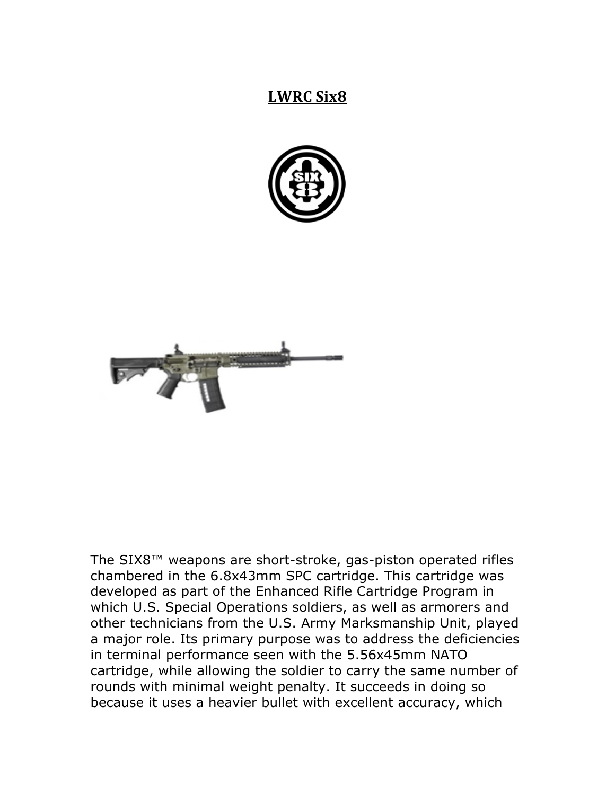## **LWRC Six8**





The SIX8™ weapons are short-stroke, gas-piston operated rifles chambered in the 6.8x43mm SPC cartridge. This cartridge was developed as part of the Enhanced Rifle Cartridge Program in which U.S. Special Operations soldiers, as well as armorers and other technicians from the U.S. Army Marksmanship Unit, played a major role. Its primary purpose was to address the deficiencies in terminal performance seen with the 5.56x45mm NATO cartridge, while allowing the soldier to carry the same number of rounds with minimal weight penalty. It succeeds in doing so because it uses a heavier bullet with excellent accuracy, which